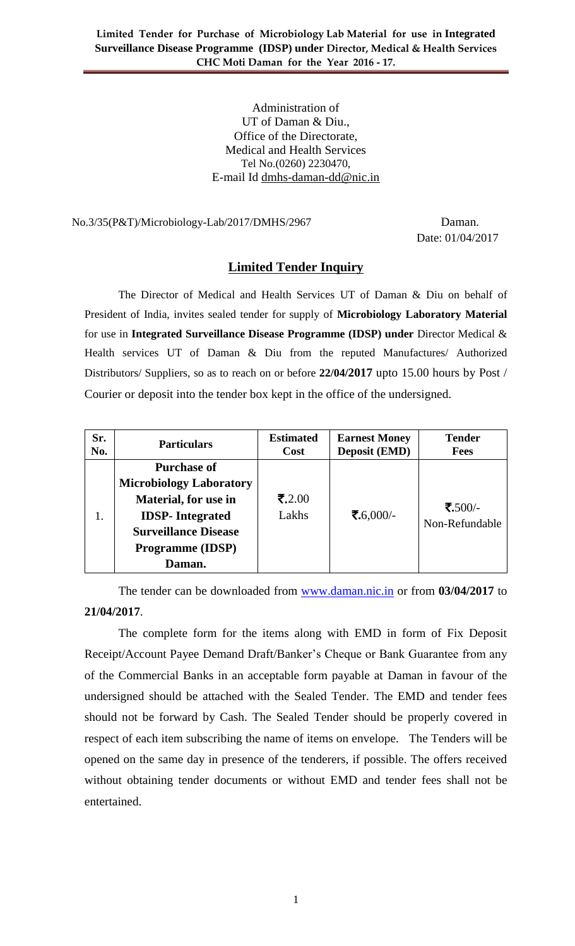Administration of UT of Daman & Diu., Office of the Directorate, Medical and Health Services Tel No.(0260) 2230470, E-mail Id dmhs-daman-dd@nic.in

#### No.3/35(P&T)/Microbiology-Lab/2017/DMHS/2967 Daman.

Date: 01/04/2017

### **Limited Tender Inquiry**

The Director of Medical and Health Services UT of Daman & Diu on behalf of President of India, invites sealed tender for supply of **Microbiology Laboratory Material** for use in **Integrated Surveillance Disease Programme (IDSP) under** Director Medical & Health services UT of Daman & Diu from the reputed Manufactures/ Authorized Distributors/ Suppliers, so as to reach on or before **22/04/2017** upto 15.00 hours by Post / Courier or deposit into the tender box kept in the office of the undersigned.

| Sr.<br>No. | <b>Particulars</b>             | <b>Estimated</b><br><b>Cost</b> | <b>Earnest Money</b><br><b>Deposit (EMD)</b> | <b>Tender</b><br><b>Fees</b> |
|------------|--------------------------------|---------------------------------|----------------------------------------------|------------------------------|
|            | <b>Purchase of</b>             |                                 |                                              |                              |
|            | <b>Microbiology Laboratory</b> |                                 |                                              |                              |
|            | <b>Material, for use in</b>    | ₹.2.00                          |                                              | ₹.500/-                      |
| 1.         | <b>IDSP-</b> Integrated        | Lakhs                           | ₹.6,000/-                                    | Non-Refundable               |
|            | <b>Surveillance Disease</b>    |                                 |                                              |                              |
|            | <b>Programme (IDSP)</b>        |                                 |                                              |                              |
|            | Daman.                         |                                 |                                              |                              |

The tender can be downloaded from [www.daman.nic.in](http://www.daman.nic.in/) or from **03/04/2017** to **21/04/2017**.

The complete form for the items along with EMD in form of Fix Deposit Receipt/Account Payee Demand Draft/Banker's Cheque or Bank Guarantee from any of the Commercial Banks in an acceptable form payable at Daman in favour of the undersigned should be attached with the Sealed Tender. The EMD and tender fees should not be forward by Cash. The Sealed Tender should be properly covered in respect of each item subscribing the name of items on envelope. The Tenders will be opened on the same day in presence of the tenderers, if possible. The offers received without obtaining tender documents or without EMD and tender fees shall not be entertained.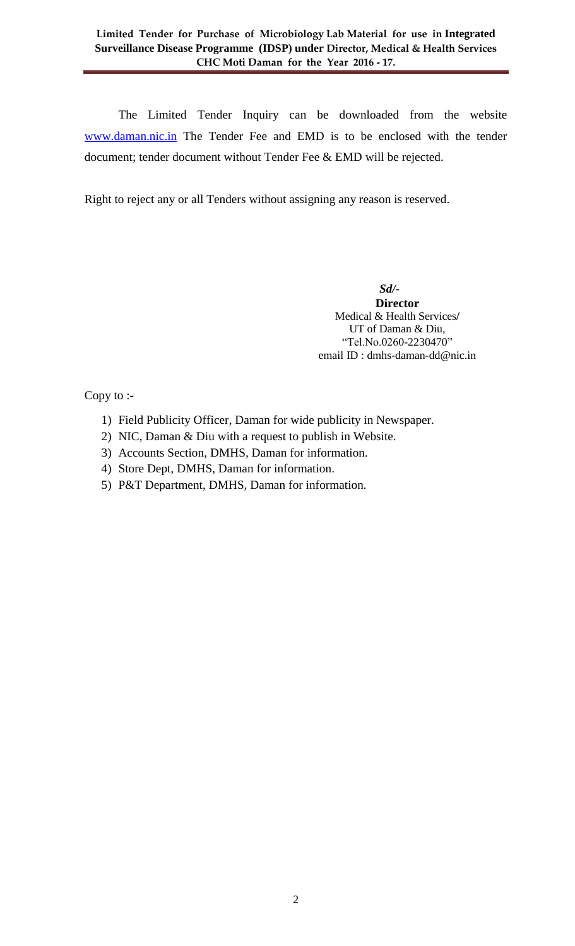The Limited Tender Inquiry can be downloaded from the website [www.daman.nic.in](http://www.daman.nic.in/) The Tender Fee and EMD is to be enclosed with the tender document; tender document without Tender Fee & EMD will be rejected.

Right to reject any or all Tenders without assigning any reason is reserved.

 *Sd/-*  **Director** Medical & Health Services**/** UT of Daman & Diu, "Tel.No.0260-2230470" email ID : dmhs-daman-dd@nic.in

Copy to :-

- 1) Field Publicity Officer, Daman for wide publicity in Newspaper.
- 2) NIC, Daman & Diu with a request to publish in Website.
- 3) Accounts Section, DMHS, Daman for information.
- 4) Store Dept, DMHS, Daman for information.
- 5) P&T Department, DMHS, Daman for information.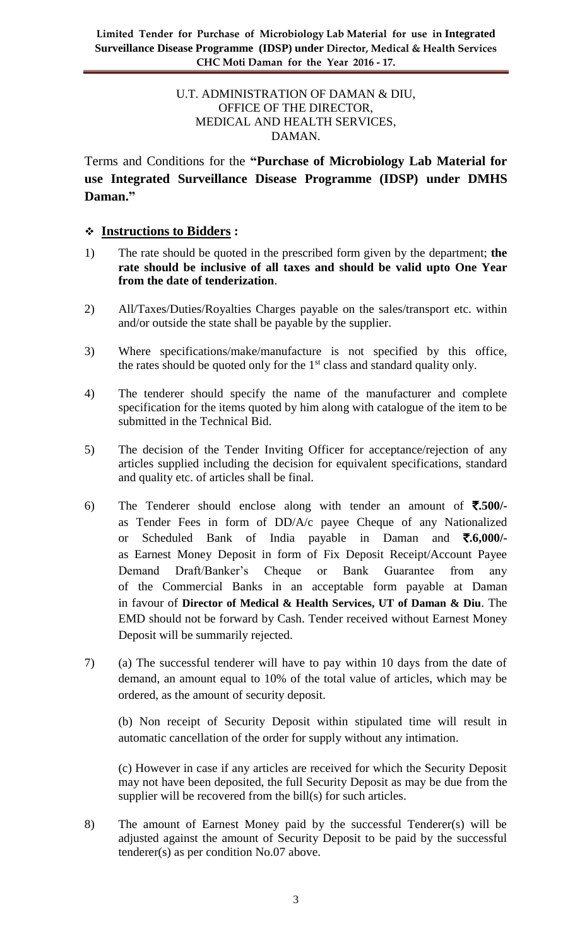### U.T. ADMINISTRATION OF DAMAN & DIU, OFFICE OF THE DIRECTOR, MEDICAL AND HEALTH SERVICES, DAMAN.

Terms and Conditions for the **"Purchase of Microbiology Lab Material for use Integrated Surveillance Disease Programme (IDSP) under DMHS Daman."**

### **Instructions to Bidders :**

- 1) The rate should be quoted in the prescribed form given by the department; **the rate should be inclusive of all taxes and should be valid upto One Year from the date of tenderization**.
- 2) All/Taxes/Duties/Royalties Charges payable on the sales/transport etc. within and/or outside the state shall be payable by the supplier.
- 3) Where specifications/make/manufacture is not specified by this office, the rates should be quoted only for the  $1<sup>st</sup>$  class and standard quality only.
- 4) The tenderer should specify the name of the manufacturer and complete specification for the items quoted by him along with catalogue of the item to be submitted in the Technical Bid.
- 5) The decision of the Tender Inviting Officer for acceptance/rejection of any articles supplied including the decision for equivalent specifications, standard and quality etc. of articles shall be final.
- 6) The Tenderer should enclose along with tender an amount of  $\overline{\mathbf{5}}$ .500/as Tender Fees in form of DD/A/c payee Cheque of any Nationalized or Scheduled Bank of India payable in Daman and `**.6,000/** as Earnest Money Deposit in form of Fix Deposit Receipt/Account Payee Demand Draft/Banker's Cheque or Bank Guarantee from any of the Commercial Banks in an acceptable form payable at Daman in favour of **Director of Medical & Health Services, UT of Daman & Diu**. The EMD should not be forward by Cash. Tender received without Earnest Money Deposit will be summarily rejected.
- 7) (a) The successful tenderer will have to pay within 10 days from the date of demand, an amount equal to 10% of the total value of articles, which may be ordered, as the amount of security deposit.

(b) Non receipt of Security Deposit within stipulated time will result in automatic cancellation of the order for supply without any intimation.

(c) However in case if any articles are received for which the Security Deposit may not have been deposited, the full Security Deposit as may be due from the supplier will be recovered from the bill(s) for such articles.

8) The amount of Earnest Money paid by the successful Tenderer(s) will be adjusted against the amount of Security Deposit to be paid by the successful tenderer(s) as per condition No.07 above.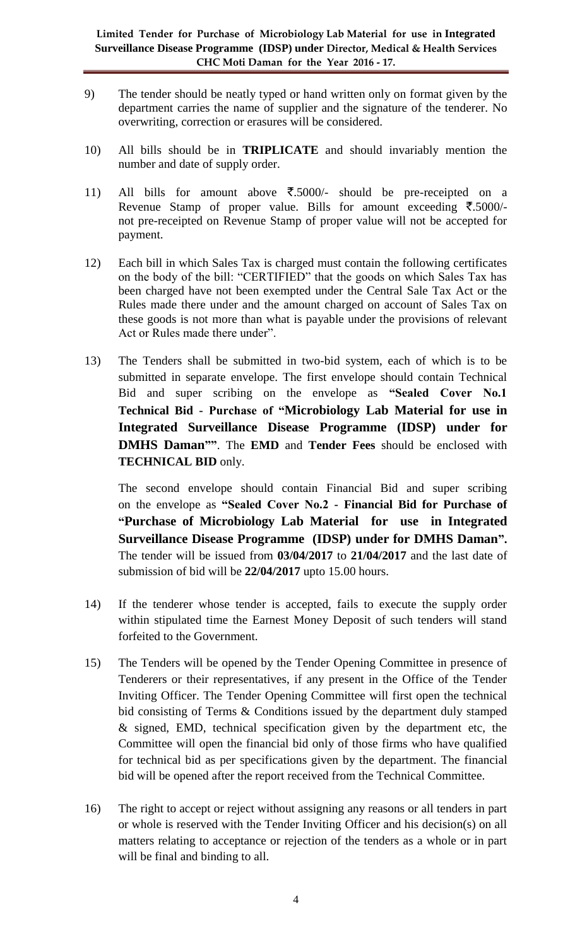- 9) The tender should be neatly typed or hand written only on format given by the department carries the name of supplier and the signature of the tenderer. No overwriting, correction or erasures will be considered.
- 10) All bills should be in **TRIPLICATE** and should invariably mention the number and date of supply order.
- 11) All bills for amount above  $\overline{\xi}$ .5000/- should be pre-receipted on a Revenue Stamp of proper value. Bills for amount exceeding  $\bar{\mathcal{F}}$ .5000/not pre-receipted on Revenue Stamp of proper value will not be accepted for payment.
- 12) Each bill in which Sales Tax is charged must contain the following certificates on the body of the bill: "CERTIFIED" that the goods on which Sales Tax has been charged have not been exempted under the Central Sale Tax Act or the Rules made there under and the amount charged on account of Sales Tax on these goods is not more than what is payable under the provisions of relevant Act or Rules made there under".
- 13) The Tenders shall be submitted in two-bid system, each of which is to be submitted in separate envelope. The first envelope should contain Technical Bid and super scribing on the envelope as **"Sealed Cover No.1 Technical Bid - Purchase of "Microbiology Lab Material for use in Integrated Surveillance Disease Programme (IDSP) under for DMHS Daman""**. The **EMD** and **Tender Fees** should be enclosed with **TECHNICAL BID** only.

The second envelope should contain Financial Bid and super scribing on the envelope as **"Sealed Cover No.2 - Financial Bid for Purchase of "Purchase of Microbiology Lab Material for use in Integrated Surveillance Disease Programme (IDSP) under for DMHS Daman".** The tender will be issued from **03/04/2017** to **21/04/2017** and the last date of submission of bid will be **22/04/2017** upto 15.00 hours.

- 14) If the tenderer whose tender is accepted, fails to execute the supply order within stipulated time the Earnest Money Deposit of such tenders will stand forfeited to the Government.
- 15) The Tenders will be opened by the Tender Opening Committee in presence of Tenderers or their representatives, if any present in the Office of the Tender Inviting Officer. The Tender Opening Committee will first open the technical bid consisting of Terms & Conditions issued by the department duly stamped & signed, EMD, technical specification given by the department etc, the Committee will open the financial bid only of those firms who have qualified for technical bid as per specifications given by the department. The financial bid will be opened after the report received from the Technical Committee.
- 16) The right to accept or reject without assigning any reasons or all tenders in part or whole is reserved with the Tender Inviting Officer and his decision(s) on all matters relating to acceptance or rejection of the tenders as a whole or in part will be final and binding to all.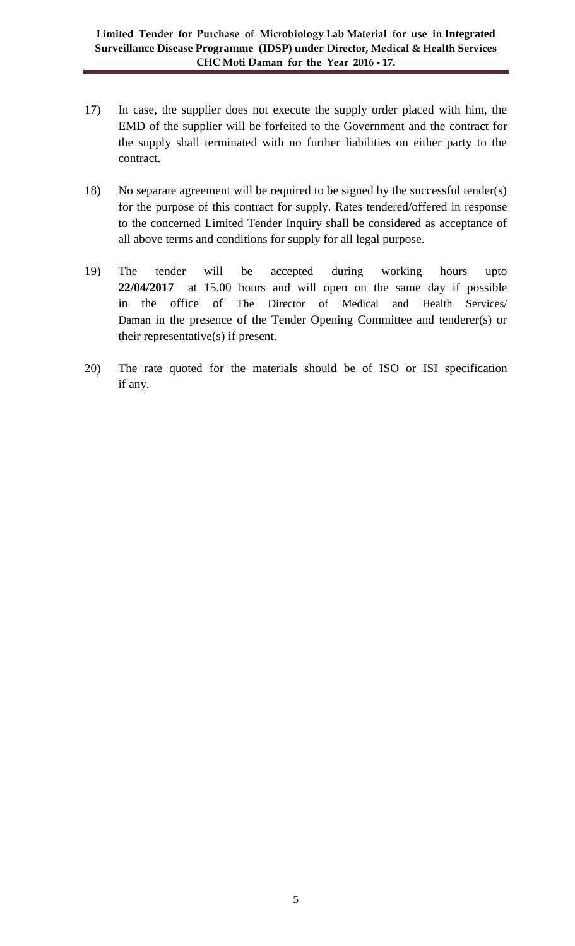- 17) In case, the supplier does not execute the supply order placed with him, the EMD of the supplier will be forfeited to the Government and the contract for the supply shall terminated with no further liabilities on either party to the contract.
- 18) No separate agreement will be required to be signed by the successful tender(s) for the purpose of this contract for supply. Rates tendered/offered in response to the concerned Limited Tender Inquiry shall be considered as acceptance of all above terms and conditions for supply for all legal purpose.
- 19) The tender will be accepted during working hours upto **22/04/2017** at 15.00 hours and will open on the same day if possible in the office of The Director of Medical and Health Services/ Daman in the presence of the Tender Opening Committee and tenderer(s) or their representative(s) if present.
- 20) The rate quoted for the materials should be of ISO or ISI specification if any.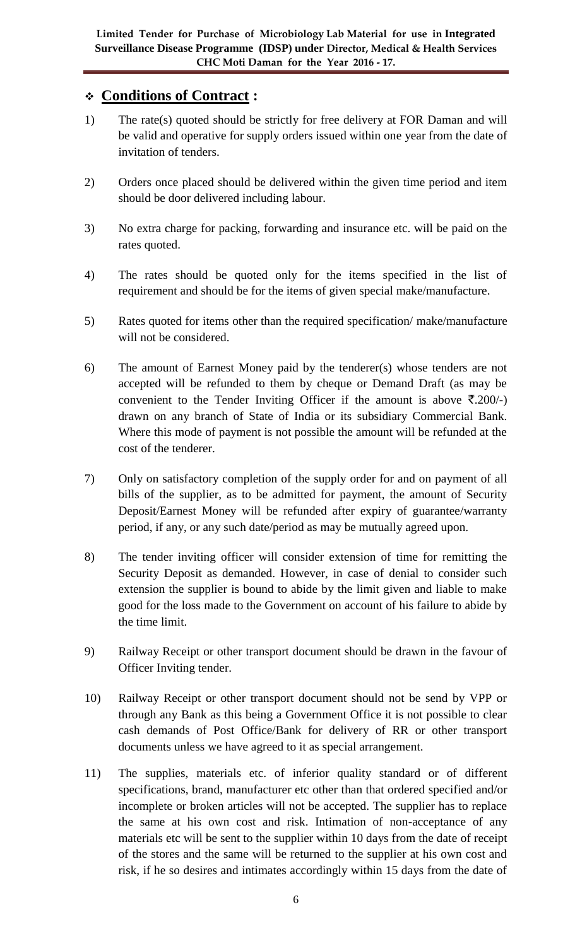# **Conditions of Contract :**

- 1) The rate(s) quoted should be strictly for free delivery at FOR Daman and will be valid and operative for supply orders issued within one year from the date of invitation of tenders.
- 2) Orders once placed should be delivered within the given time period and item should be door delivered including labour.
- 3) No extra charge for packing, forwarding and insurance etc. will be paid on the rates quoted.
- 4) The rates should be quoted only for the items specified in the list of requirement and should be for the items of given special make/manufacture.
- 5) Rates quoted for items other than the required specification/ make/manufacture will not be considered.
- 6) The amount of Earnest Money paid by the tenderer(s) whose tenders are not accepted will be refunded to them by cheque or Demand Draft (as may be convenient to the Tender Inviting Officer if the amount is above  $\bar{\mathfrak{r}}.200/-$ ) drawn on any branch of State of India or its subsidiary Commercial Bank. Where this mode of payment is not possible the amount will be refunded at the cost of the tenderer.
- 7) Only on satisfactory completion of the supply order for and on payment of all bills of the supplier, as to be admitted for payment, the amount of Security Deposit/Earnest Money will be refunded after expiry of guarantee/warranty period, if any, or any such date/period as may be mutually agreed upon.
- 8) The tender inviting officer will consider extension of time for remitting the Security Deposit as demanded. However, in case of denial to consider such extension the supplier is bound to abide by the limit given and liable to make good for the loss made to the Government on account of his failure to abide by the time limit.
- 9) Railway Receipt or other transport document should be drawn in the favour of Officer Inviting tender.
- 10) Railway Receipt or other transport document should not be send by VPP or through any Bank as this being a Government Office it is not possible to clear cash demands of Post Office/Bank for delivery of RR or other transport documents unless we have agreed to it as special arrangement.
- 11) The supplies, materials etc. of inferior quality standard or of different specifications, brand, manufacturer etc other than that ordered specified and/or incomplete or broken articles will not be accepted. The supplier has to replace the same at his own cost and risk. Intimation of non-acceptance of any materials etc will be sent to the supplier within 10 days from the date of receipt of the stores and the same will be returned to the supplier at his own cost and risk, if he so desires and intimates accordingly within 15 days from the date of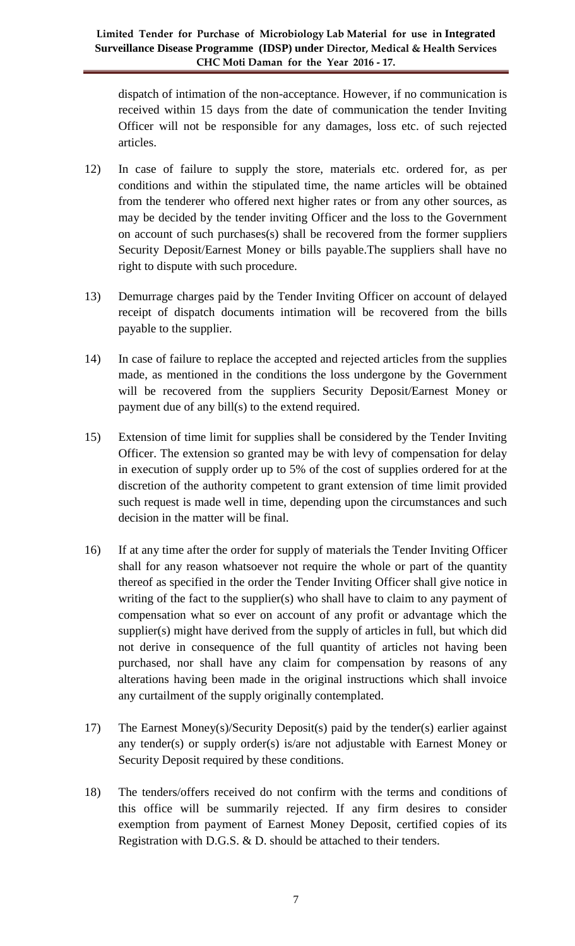dispatch of intimation of the non-acceptance. However, if no communication is received within 15 days from the date of communication the tender Inviting Officer will not be responsible for any damages, loss etc. of such rejected articles.

- 12) In case of failure to supply the store, materials etc. ordered for, as per conditions and within the stipulated time, the name articles will be obtained from the tenderer who offered next higher rates or from any other sources, as may be decided by the tender inviting Officer and the loss to the Government on account of such purchases(s) shall be recovered from the former suppliers Security Deposit/Earnest Money or bills payable.The suppliers shall have no right to dispute with such procedure.
- 13) Demurrage charges paid by the Tender Inviting Officer on account of delayed receipt of dispatch documents intimation will be recovered from the bills payable to the supplier.
- 14) In case of failure to replace the accepted and rejected articles from the supplies made, as mentioned in the conditions the loss undergone by the Government will be recovered from the suppliers Security Deposit/Earnest Money or payment due of any bill(s) to the extend required.
- 15) Extension of time limit for supplies shall be considered by the Tender Inviting Officer. The extension so granted may be with levy of compensation for delay in execution of supply order up to 5% of the cost of supplies ordered for at the discretion of the authority competent to grant extension of time limit provided such request is made well in time, depending upon the circumstances and such decision in the matter will be final.
- 16) If at any time after the order for supply of materials the Tender Inviting Officer shall for any reason whatsoever not require the whole or part of the quantity thereof as specified in the order the Tender Inviting Officer shall give notice in writing of the fact to the supplier(s) who shall have to claim to any payment of compensation what so ever on account of any profit or advantage which the supplier(s) might have derived from the supply of articles in full, but which did not derive in consequence of the full quantity of articles not having been purchased, nor shall have any claim for compensation by reasons of any alterations having been made in the original instructions which shall invoice any curtailment of the supply originally contemplated.
- 17) The Earnest Money(s)/Security Deposit(s) paid by the tender(s) earlier against any tender(s) or supply order(s) is/are not adjustable with Earnest Money or Security Deposit required by these conditions.
- 18) The tenders/offers received do not confirm with the terms and conditions of this office will be summarily rejected. If any firm desires to consider exemption from payment of Earnest Money Deposit, certified copies of its Registration with D.G.S. & D. should be attached to their tenders.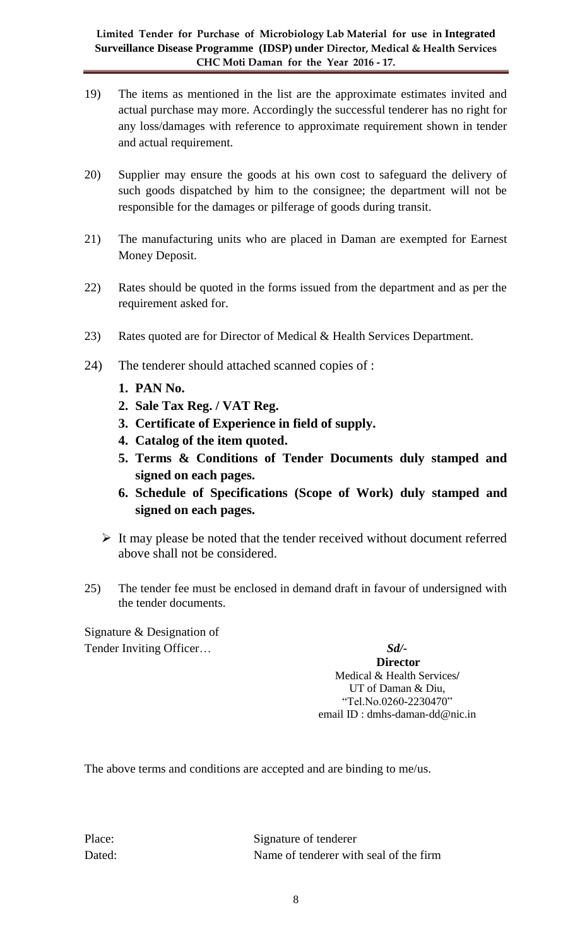- 19) The items as mentioned in the list are the approximate estimates invited and actual purchase may more. Accordingly the successful tenderer has no right for any loss/damages with reference to approximate requirement shown in tender and actual requirement.
- 20) Supplier may ensure the goods at his own cost to safeguard the delivery of such goods dispatched by him to the consignee; the department will not be responsible for the damages or pilferage of goods during transit.
- 21) The manufacturing units who are placed in Daman are exempted for Earnest Money Deposit.
- 22) Rates should be quoted in the forms issued from the department and as per the requirement asked for.
- 23) Rates quoted are for Director of Medical & Health Services Department.
- 24) The tenderer should attached scanned copies of :
	- **1. PAN No.**
	- **2. Sale Tax Reg. / VAT Reg.**
	- **3. Certificate of Experience in field of supply.**
	- **4. Catalog of the item quoted.**
	- **5. Terms & Conditions of Tender Documents duly stamped and signed on each pages.**
	- **6. Schedule of Specifications (Scope of Work) duly stamped and signed on each pages.**
	- $\triangleright$  It may please be noted that the tender received without document referred above shall not be considered.
- 25) The tender fee must be enclosed in demand draft in favour of undersigned with the tender documents.

Signature & Designation of Tender Inviting Officer… *Sd/-*

**Director** Medical & Health Services**/** UT of Daman & Diu, "Tel.No.0260-2230470" email ID : dmhs-daman-dd@nic.in

The above terms and conditions are accepted and are binding to me/us.

Place: Signature of tenderer Dated: Name of tenderer with seal of the firm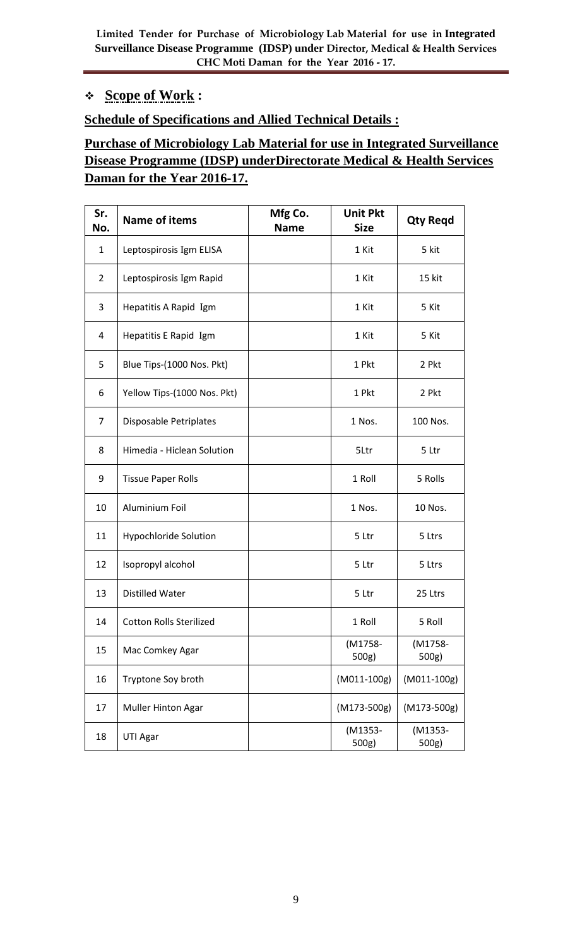### **Scope of Work :**

### **Schedule of Specifications and Allied Technical Details :**

# **Purchase of Microbiology Lab Material for use in Integrated Surveillance Disease Programme (IDSP) underDirectorate Medical & Health Services Daman for the Year 2016-17.**

| Sr.<br>No.     | <b>Name of items</b>           | Mfg Co.<br><b>Name</b> | <b>Unit Pkt</b><br><b>Size</b> | <b>Qty Regd</b>  |
|----------------|--------------------------------|------------------------|--------------------------------|------------------|
| $\mathbf{1}$   | Leptospirosis Igm ELISA        |                        | 1 Kit                          | 5 kit            |
| $\overline{2}$ | Leptospirosis Igm Rapid        |                        | 1 Kit                          | 15 kit           |
| 3              | Hepatitis A Rapid Igm          |                        | 1 Kit                          | 5 Kit            |
| 4              | Hepatitis E Rapid Igm          |                        | 1 Kit                          | 5 Kit            |
| 5              | Blue Tips-(1000 Nos. Pkt)      |                        | 1 Pkt                          | 2 Pkt            |
| 6              | Yellow Tips-(1000 Nos. Pkt)    |                        | 1 Pkt                          | 2 Pkt            |
| $\overline{7}$ | Disposable Petriplates         |                        | 1 Nos.                         | 100 Nos.         |
| 8              | Himedia - Hiclean Solution     |                        | 5Ltr                           | 5 Ltr            |
| 9              | <b>Tissue Paper Rolls</b>      |                        | 1 Roll                         | 5 Rolls          |
| 10             | Aluminium Foil                 |                        | 1 Nos.                         | 10 Nos.          |
| 11             | <b>Hypochloride Solution</b>   |                        | 5 Ltr                          | 5 Ltrs           |
| 12             | Isopropyl alcohol              |                        | 5 Ltr                          | 5 Ltrs           |
| 13             | <b>Distilled Water</b>         |                        | 5 Ltr                          | 25 Ltrs          |
| 14             | <b>Cotton Rolls Sterilized</b> |                        | 1 Roll                         | 5 Roll           |
| 15             | Mac Comkey Agar                |                        | (M1758-<br>500g)               | (M1758-<br>500g) |
| 16             | Tryptone Soy broth             |                        | (M011-100g)                    | (M011-100g)      |
| 17             | Muller Hinton Agar             |                        | $(M173-500g)$                  | $(M173-500g)$    |
| 18             | UTI Agar                       |                        | (M1353-<br>500g)               | (M1353-<br>500g) |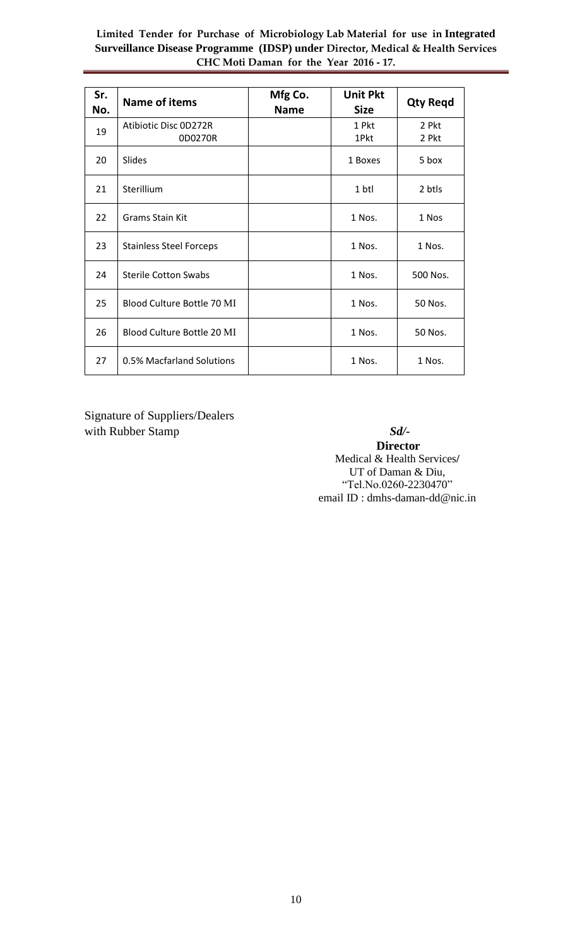| Sr.<br>No. | <b>Name of items</b>             | Mfg Co.<br><b>Name</b> | <b>Unit Pkt</b><br><b>Size</b> | <b>Qty Regd</b> |
|------------|----------------------------------|------------------------|--------------------------------|-----------------|
| 19         | Atibiotic Disc 0D272R<br>0D0270R |                        | 1 Pkt<br>1Pkt                  | 2 Pkt<br>2 Pkt  |
| 20         | Slides                           |                        | 1 Boxes                        | 5 box           |
| 21         | Sterillium                       |                        | 1 btl                          | 2 btls          |
| 22         | <b>Grams Stain Kit</b>           |                        | 1 Nos.                         | 1 Nos           |
| 23         | <b>Stainless Steel Forceps</b>   |                        | 1 Nos.                         | 1 Nos.          |
| 24         | <b>Sterile Cotton Swabs</b>      |                        | 1 Nos.                         | 500 Nos.        |
| 25         | Blood Culture Bottle 70 MI       |                        | 1 Nos.                         | 50 Nos.         |
| 26         | Blood Culture Bottle 20 MI       |                        | 1 Nos.                         | 50 Nos.         |
| 27         | 0.5% Macfarland Solutions        |                        | 1 Nos.                         | 1 Nos.          |

Signature of Suppliers/Dealers with Rubber Stamp **Sd**/-

**Director** Medical & Health Services**/** UT of Daman & Diu, "Tel.No.0260-2230470" email ID : dmhs-daman-dd@nic.in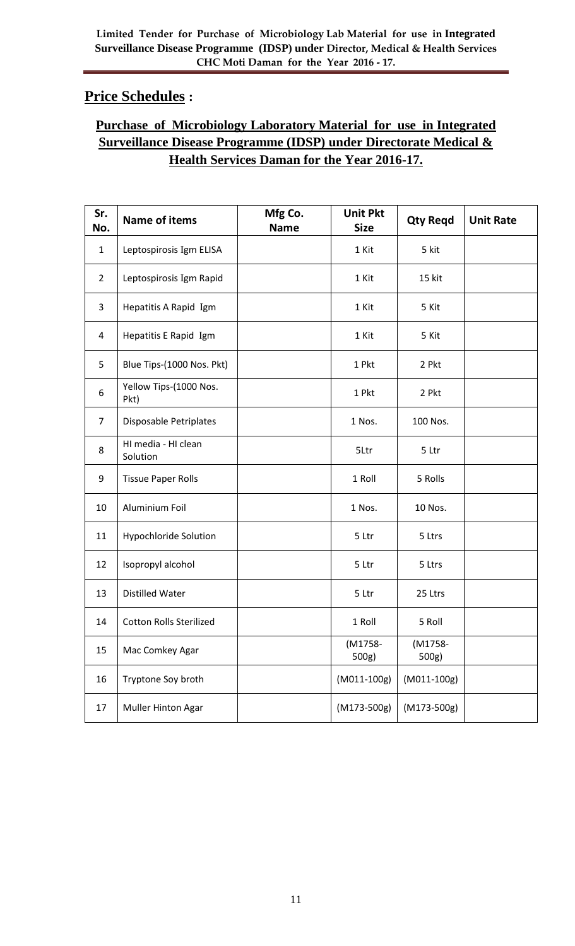# **Price Schedules :**

## **Purchase of Microbiology Laboratory Material for use in Integrated Surveillance Disease Programme (IDSP) under Directorate Medical & Health Services Daman for the Year 2016-17.**

| Sr.<br>No.     | <b>Name of items</b>            | Mfg Co.<br><b>Name</b> | <b>Unit Pkt</b><br><b>Size</b> | <b>Qty Regd</b>  | <b>Unit Rate</b> |
|----------------|---------------------------------|------------------------|--------------------------------|------------------|------------------|
| $\mathbf{1}$   | Leptospirosis Igm ELISA         |                        | 1 Kit                          | 5 kit            |                  |
| $\overline{2}$ | Leptospirosis Igm Rapid         |                        | 1 Kit                          | 15 kit           |                  |
| 3              | Hepatitis A Rapid Igm           |                        | 1 Kit                          | 5 Kit            |                  |
| 4              | Hepatitis E Rapid Igm           |                        | 1 Kit                          | 5 Kit            |                  |
| 5              | Blue Tips-(1000 Nos. Pkt)       |                        | 1 Pkt                          | 2 Pkt            |                  |
| 6              | Yellow Tips-(1000 Nos.<br>Pkt)  |                        | 1 Pkt                          | 2 Pkt            |                  |
| $\overline{7}$ | Disposable Petriplates          |                        | 1 Nos.                         | 100 Nos.         |                  |
| 8              | HI media - HI clean<br>Solution |                        | 5Ltr                           | 5 Ltr            |                  |
| 9              | <b>Tissue Paper Rolls</b>       |                        | 1 Roll                         | 5 Rolls          |                  |
| 10             | Aluminium Foil                  |                        | 1 Nos.                         | 10 Nos.          |                  |
| 11             | Hypochloride Solution           |                        | 5 Ltr                          | 5 Ltrs           |                  |
| 12             | Isopropyl alcohol               |                        | 5 Ltr                          | 5 Ltrs           |                  |
| 13             | <b>Distilled Water</b>          |                        | 5 Ltr                          | 25 Ltrs          |                  |
| 14             | <b>Cotton Rolls Sterilized</b>  |                        | 1 Roll                         | 5 Roll           |                  |
| 15             | Mac Comkey Agar                 |                        | (M1758-<br>500g)               | (M1758-<br>500g) |                  |
| 16             | Tryptone Soy broth              |                        | (M011-100g)                    | (M011-100g)      |                  |
| 17             | Muller Hinton Agar              |                        | (M173-500g)                    | $(M173-500g)$    |                  |